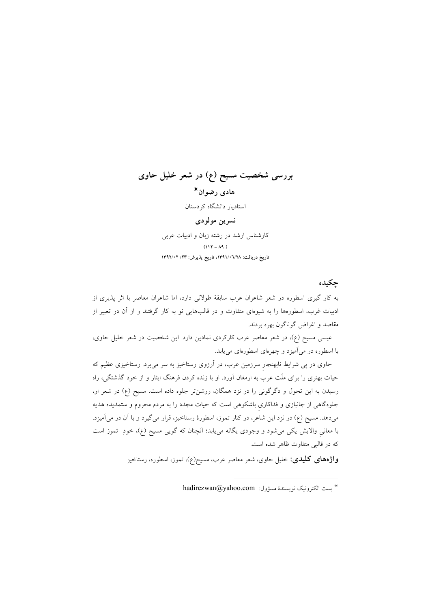# **بررسی شخصیت مسیح (ع) در شعر خلیل حاوی** هادي رضوان\* استادیار دانشگاه کردستان نسرين مولودي

کارشناس ارشد در رشته زبان و ادبیات عربی  $(117 - A9)$ **1392/02 /23 :1
"23 \*"+ 41391/06/28 :)" \*"+**

# جكى*د*ە

به کار گیری اسطوره در شعر شاعران عرب سابقهٔ طولانی دارد، اما شاعران معاصر با اثر پذیری از ادبیات غرب، اسطورهها را به شیوهای متفاوت و در قالبهایی نو به کار گرفتند و از ان در تعبیر از مقاصد و اغراض گوناگون بهره بردند.

عیسی مسیح (ع)، در شعر معاصر عرب کارکردی نمادین دارد. این شخصیت در شعر خلیل حاوی، ا اسطوره در می|میزد و چهرهای اسطورهای مییابد.  $\ddot{\phantom{0}}$ 

حاوی در پی شرایط نابهنجار سرزمین عرب، در ارزوی رستاخیز به سر میبرد. رستاخیزی عظیم که حیات بهتری را برای ملت عرب به ارمغان اورد. او با زنده کردن فرهنگ ایثار و از خود گذشتگی، راه رسیدن به این تحول و دگرگونی را در نزد همگان، روشنتر جلوه داده است. مسیح (ع) در شعر او، جلوهگاهی از جانبازی و فداکاری باشکوهی است که حیات مجدد را به مردم محروم و ستمدیده هدیه میدهد. مسیح (ع) در نزد این شاعر، در کنار تموز، اسطورهٔ رستاخیز، قرار میگیرد و با آن در می|میزد. ا معانی والایش یکی میشود و وجودی یگانه مییابد؛ انچنان که گویی مسیح (ع)، خودِ تموز است  $\ddot{\phantom{0}}$ که در قالبی متفاوت ظاهر شده است.

**واژههای کلیدی:** خلیل حاوی، شعر معاصر عرب، مسیح(ع)، تموز، اسطوره، رستاخیز

 $hadirezwan@yahoo.com$ : يست الكترونيك نويسندة مسؤول: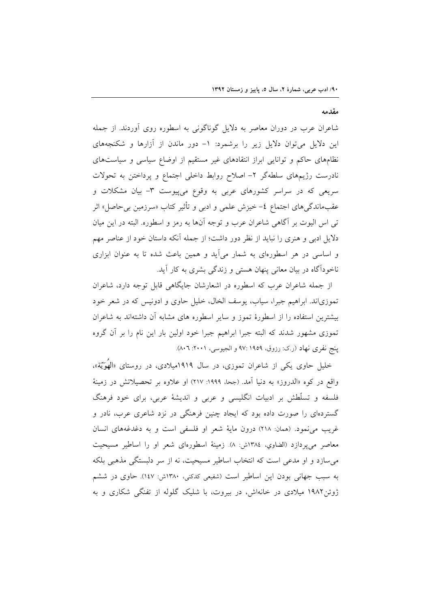مقدمه

شاعران عرب در دوران معاصر به دلایل گوناگونی به اسطوره روی آوردند. از جمله این دلایل میتوان دلایل زیر را برشمرد: ۱- دور ماندن از آزارها و شکنجههای نظامهای حاکم و توانایی ابراز انتقادهای غیر مستقیم از اوضاع سیاسی و سیاستهای نادرست رژیمهای سلطهگر ۲– اصلاح روابط داخلی اجتماع و پرداختن به تحولات سریعی که در سراسر کشورهای عربی به وقوع میپیوست ۳- بیان مشکلات و عقبِماندگیِهای اجتماع ٤– خیزش علمی و ادبی و تأثیر کتاب «سرزمین بیِحاصل» اثر تی اس الیوت بر آگاهی شاعران عرب و توجه آنها به رمز و اسطوره. البته در این میان دلایل ادبی و هنری را نباید از نظر دور داشت؛ از جمله آنکه داستان خود از عناصر مهم و اساسی در هر اسطورهای به شمار می[ید و همین باعث شده تا به عنوان ابزاری ناخودآگاه در بیان معانی پنهان هستی و زندگی بشری به کار آید.

از جمله شاعران عرب كه اسطوره در اشعارشان جایگاهی قابل توجه دارد، شاعران تموزیاند. ابراهیم جبرا، سیاب، یوسف الخال، خلیل حاوی و ادونیس که در شعر خود بیشترین استفاده را از اسطورهٔ تموز و سایر اسطوره های مشابه آن داشتهاند به شاعران تموزی مشهور شدند که البته جبرا ابراهیم جبرا خود اولین بار این نام را بر أن گروه پنج نفري نهاد (ر.ک: رزوق، ۱۹۵۹ :۹۷ و الجیوسی، ۲۰۰۱: ۸۰٦).

خلیل حاوی یکی از شاعران تموزی، در سال ۱۹۱۹میلادی، در روستای «الهوَّیّة»، واقع در كوه «الدروز» به دنيا آمد. (جحا، ١٩٩٩: ٢١٧) او علاوه بر تحصيلاتش در زمينهٔ فلسفه و تسلَّطش بر ادبیات انگلیسی و عربی و اندیشهٔ عربی، برای خود فرهنگ گستردهای را صورت داده بود که ایجاد چنین فرهنگی در نزد شاعری عرب، نادر و غریب می نمود. (همان: ۲۱۸) درون مایهٔ شعر او فلسفی است و به دغدغههای انسان معاصر میپردازد (الضاوي، ١٣٨٤ش: ٨). زمينهٔ اسطورهای شعر او را اساطير مسيحيت میسازد و او مدعی است که انتخاب اساطیر مسیحیت، نه از سر دلبستگی مذهبی بلکه به سبب جهانی بودن این اساطیر است (شفیعی کدکنی، ۱۳۸۰ش: ۱٤۷). حاوی در ششم ژوئن۱۹۸۲ میلادی در خانهاش، در بیروت، با شلیک گلوله از تفنگی شکاری و به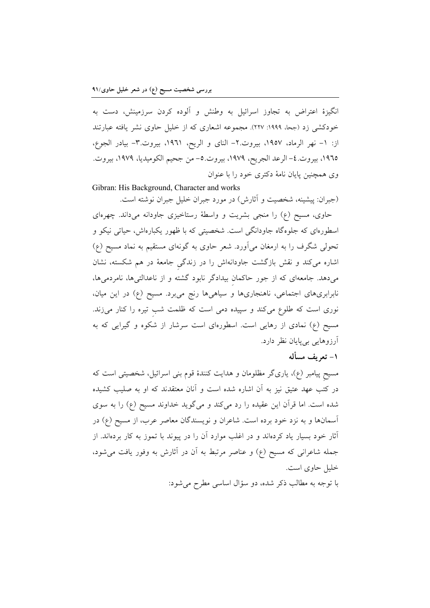انگیزهٔ اعتراض به تجاوز اسرائیل به وطنش و الوده کردن سرزمینش، دست به خودکشی زد (جحا، ۱۹۹۹: ۲۲۷). مجموعه اشعاری که از خلیل حاوی نشر یافته عبارتند از: ١– نهر الرماد، ١٩٥٧، بيروت.٢– الناى و الريح، ١٩٦١، بيروت.٣– بيادر الجوع، 1۹٦٥، بيروت. ٤– الرعد الجريح، ١٩٧٩، بيروت.٥– من جحيم الكوميديا، ١٩٧٩، بيروت. وی همچنین پایان نامهٔ دکتری خود را با عنوان

Gibran: His Background, Character and works

(جبران: پیشینه، شخصیت و اثارش) در مورد جبران خلیل جبران نوشته است. حاوی، مسیح (ع) را منجی بشریت و واسطهٔ رستاخیزی جاودانه میداند. چهرهای اسطورهای که جلوهگاه جاودانگی است. شخصیتی که با ظهور یکبارهاش، حیاتی نیکو و تحولی شگرف را به ارمغان می|ورد. شعر حاوی به گونهای مستقیم به نماد مسیح (ع) اشاره میکند و نقش بازگشت جاودانهاش را در زندگی جامعهٔ در هم شکسته، نشان میدهد. جامعهای که از جور حاکمان بیدادگر نابود گشته و از ناعدالتیها، نامردمیها، ابرابریهای اجتماعی، ناهنجاریها و سیاهیها رنج میبرد. مسیح (ع) در این میان، .<br>ئا نوری است که طلوع میکند و سپیده دمی است که ظلمت شب تیره را کنار میزند. مسیح (ع) نمادی از رهایی است. اسطورهای است سرشار از شکوه و گیرایی که به ارزوهایی بیµاین نظر دارد.

**ا**– تعريف مسأله

مسیح پیامبر (ع). یاریگر مظلومان و هدایت کنندهٔ قوم بنی اسرائیل، شخصیتی است که در کتب عهد عتیق نیز به ان اشاره شده است و انان معتقدند که او به صلیب کشیده شده است. اما قران این عقیده را رد میکند و میگوید خداوند مسیح (ع) را به سوی اسمانها و به نزد خود برده است. شاعران و نویسندگان معاصر عرب، از مسیح (ع) در اثار خود بسیار یاد کردهاند و در اغلب موارد ان را در پیوند با تموز به کار بردهاند. از جمله شاعرانی که مسیح (ع) و عناصر مرتبط به ان در اثارش به وفور یافت میشود. خلیل حاوی است.

> ا توجه به مطالب ذکر شده، دو سؤال اساسی مطرح میشود:  $\ddot{\cdot}$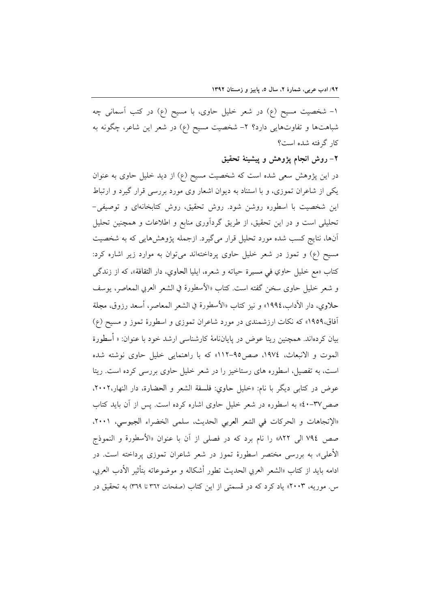۱– شخصیت مسیح (ع) در شعر خلیل حاوی، با مسیح (ع) در کتب اسمانی چه شباهتها و تفاوتهایی دارد؟ ۲- شخصیت مسیح (ع) در شعر این شاعر، چگونه به کار گرفته شده است؟

### ۲– روش انجام یژوهش و پیشینهٔ تحقیق

در این پژوهش سعی شده است که شخصیت مسیح (ع) از دید خلیل حاوی به عنوان یکی از شاعران تموزی، و با استناد به دیوان اشعار وی مورد بررسی قرار گیرد و ارتباط این شخصیت با اسطوره روشن شود. روش تحقیق، روش کتابخانهای و توصیفی-تحلیلی است و در این تحقیق، از طریق گردآوری منابع و اطلاعات و همچنین تحلیل أنها، نتایج کسب شده مورد تحلیل قرار میگیرد. ازجمله پژوهشهایی که به شخصیت مسیح (ع) و تموز در شعر خلیل حاوی پرداختهاند میتوان به موارد زیر اشاره کرد: كتاب «مع خليل حاوي في مسيرة حياته و شعره، ايليا الحاوي، دار الثقافة»، كه از زندگي و شعر خليل حاوي سخن گفته است. كتاب «الأسطورة في الشعر العربي المعاصر، يوسف حلاوي، دار الأداب،١٩٩٤» و نيز كتاب «الأسطورة في الشعر المعاصر، أسعد رزوق، مجلة آفاق،۱۹۵۹» که نکات ارزشمندی در مورد شاعران تموزی و اسطورهٔ تموز و مسیح (ع) بیان کردهاند. همچنین ریتا عوض در پایاننامهٔ کارشناسی ارشد خود با عنوان: « أسطورة الموت و الانبعاث، ١٩٧٤، صص9-١١٢» كه با راهنمايي خليل حاوي نوشته شده است، به تفصیل، اسطوره های رستاخیز را در شعر خلیل حاوی بررسی کرده است. ریتا عوض در كتابي ديگر با نام: «خليل حاوي: فلسفة الشعر و الحضارة، دار النهار،٢٠٠٢، صص۳۷-۵۰» به اسطوره در شعر خلیل حاوی اشاره کرده است. پس از آن باید کتاب «الإتجاهات و الحركات في الشعر العربي الحديث، سلمي الخضراء الجيوسي، ٢٠٠١، صص ٧٩٤ الى ٨٢٢» را نام برد كه در فصلى از آن با عنوان «الأسطورة و النموذج الأعلي»، به بررسي مختصر اسطورهٔ تموز در شعر شاعران تموزي پرداخته است. در ادامه بايد از كتاب «الشعر العربي الحديث تطور أشكاله و موضوعاته بتأثير الأدب العربي، س. موریه، ۲۰۰۳» یاد کرد که در قسمتی از این کتاب (صفحات ۳٦۲ تا ۳٦۹) به تحقیق در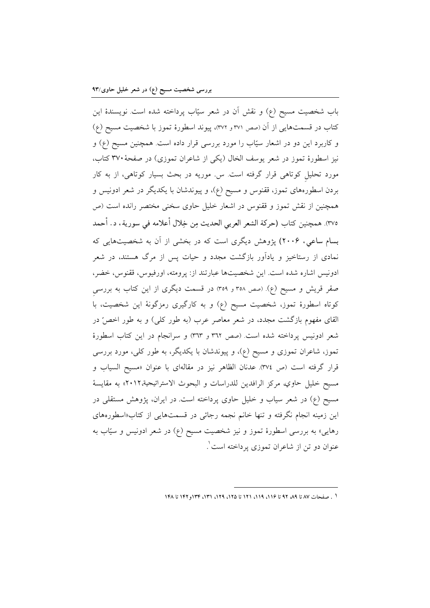باب شخصیت مسیح (ع) و نقش آن در شعر سیّاب پرداخته شده است نویسندهٔ این کتاب در قسمتهایی از آن (صص ۳۷۱ و ۳۷۲)، پیوند اسطورهٔ تموز با شخصیت مسیح (ع) و کاربرد این دو در اشعار سیّاب را مورد بررسی قرار داده است. همچنین مسیح (ع) و نیز اسطورهٔ تموز در شعر یوسف الخال (یکی از شاعران تموزی) در صفحهٔ ۳۷۰ کتاب، مورد تحلیل کوتاهی قرار گرفته است. س. موریه در بحث بسیار کوتاهی، از به کار بردن اسطورههای تموز، ققنوس و مسیح (ع)، و پیوندشان با یکدیگر در شعر ادونیس و همچنین از نقش تموز و ققنوس در اشعار خلیل حاوی سخنی مختصر رانده است (ص ٣٧٥). همچنين كتاب (حركة الشعر العربي الحديث مِن خِلال أعلامه في سورية، د. أحمد بسام ساعی، ۲۰۰۶) پژوهش دیگری است که در بخشی از آن به شخصیتهایی که نمادی از رستاخیز و یادآور بازگشت مجدد و حیات پس از مرگ هستند، در شعر ادونيس اشاره شده است. اين شخصيتها عبارتند از: پرومته، اورفيوس، ققنوس، خضر، صقر قریش و مسیح (ع). (صص ۳۵۸ و ۳۵۹) در قسمت دیگری از این کتاب به بررسی کوتاه اسطورهٔ تموز، شخصیت مسیح (ع) و به کارگیری رمزگونهٔ این شخصیت، با القای مفهوم بازگشت مجدد، در شعر معاصر عرب (به طور کلی) و به طور اخصّ در شعر ادونيس پرداخته شده است. (صص ٣٦٢ و ٣٦٣) و سرانجام در اين كتاب اسطورة تموز، شاعران تموزی و مسیح (ع)، و پیوندشان با یکدیگر، به طور کلی، مورد بررسی قرار گرفته است (ص ٣٧٤). عدنان الظاهر نيز در مقالهای با عنوان «مسيح السياب و مسيح خليل حاوي، مركز الرافدين للدراسات و البحوث الاستراتيجية،٢٠١٢» به مقايسة مسیح (ع) در شعر سیاب و خلیل حاوی پرداخته است. در ایران، پژوهش مستقلی در این زمینه انجام نگرفته و تنها خانم نجمه رجائی در قسمتهایی از کتاب«اسطورههای رهایی» به بررسی اسطورهٔ تموز و نیز شخصیت مسیح (ع) در شعر ادونیس و سیّاب به عنوان دو تن از شاعران تموزي پرداخته است ْ

١ . صفحات ٨٧ تا ٨٩ ٩٢ تا ١١۶، ١١٩، ١٢١، ١٣١ تا ١٢٥، ١٣٩، ١٣١، ١٣٤ تا ١٤٨ تا ١٤٨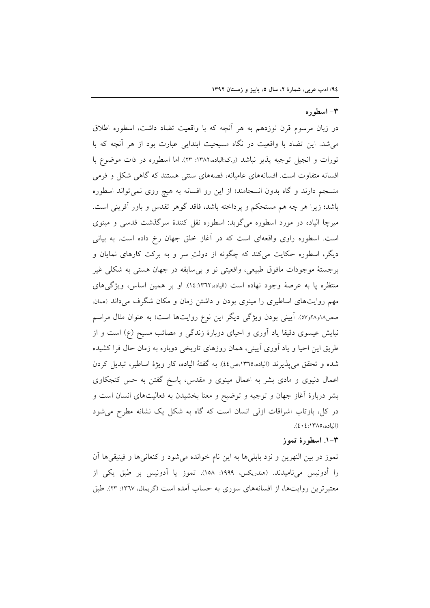### ۳- اسطوره

در زبان مرسوم قرن نوزدهم به هر أنچه كه با واقعيت تضاد داشت، اسطوره اطلاق میشد. این تضاد با واقعیت در نگاه مسیحیت ابتدایی عبارت بود از هر آنچه که با تورات و انجیل توجیه پذیر نباشد (ر.ک:الیاده،۱۳۸۲: ۲۳). اما اسطوره در ذات موضوع با افسانه متفاوت است. افسانههای عامیانه، قصههای سنتی هستند که گاهی شکل و فرمی منسجم دارند و گاه بدون انسجامند؛ از این رو افسانه به هیچ روی نمیتواند اسطوره باشد؛ زیرا هر چه هم مستحکم و پرداخته باشد، فاقد گوهر تقدس و باور آفرینی است. میرچا الیاده در مورد اسطوره میگوید: اسطوره نقل کنندهٔ سرگذشت قدسی و مینوی است. اسطوره راوي واقعهاي است كه در آغاز خلق جهان رخ داده است. به بياني دیگر، اسطوره حکایت میکند که چگونه از دولتِ سر و به برکت کارهای نمایان و برجستهٔ موجودات مافوق طبیعی، واقعیتی نو و بی سابقه در جهان هستی به شکلی غیر منتظره یا به عرصهٔ وجود نهاده است (الیاده،۱۳۶۲:۱۶). او بر همین اساس، ویژگیهای مهم روایتهای اساطیری را مینوی بودن و داشتن زمان و مکان شگرف میداند (ممان. صص۱۸و۲۸و۵۷. آیینی بودن ویژگی دیگر این نوع روایتها است؛ به عنوان مثال مراسم نیایش عیسوی دقیقا یاد آوری و احیای دوبارهٔ زندگی و مصائب مسیح (ع) است و از طریق این احیا و یاد اَوری اَیینی، همان روزهای تاریخی دوباره به زمان حال فرا کشیده شده و تحقق می پذیرند (الیاده،١٣٦٥،ص٤٤). به گفتهٔ الیاده، کار ویژهٔ اساطیر، تبدیل کردن اعمال دنیوی و مادی بشر به اعمال مینوی و مقدس، پاسخ گفتن به حس کنجکاوی بشر دربارهٔ أغاز جهان و توجیه و توضیح و معنا بخشیدن به فعالیتهای انسان است و در کل، بازتاب اشراقات ازلی انسان است که گاه به شکل یک نشانه مطرح میشود (الياده، ١٣٨٥: ٤٠٤).

#### ۰–۲ اسطورهٔ تموز

تموز در بین النهرین و نزد بابلیها به این نام خوانده میشود و کنعانیها و فینیقیها آن را أدونيس ميiاميدند. (هندريكس، ١٩٩٩: ١٥٨). تموز يا آدونيس بر طبق يكي از معتبرترین روایتها، از افسانههای سوری به حساب آمده است (گریمال، ۱۳٦۷: ۲۳). طبق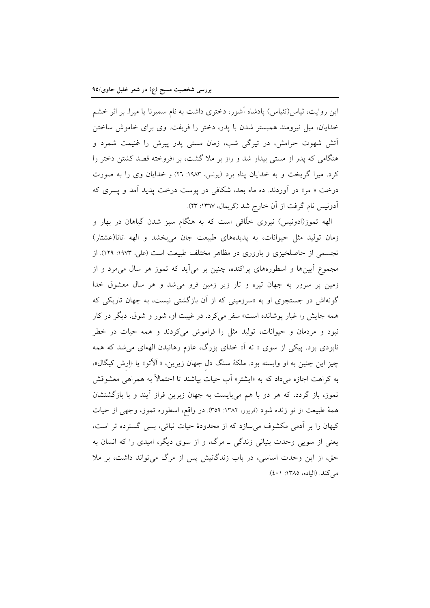این روایت، ثیاس(تئیاس) پادشاه آشور، دختری داشت به نام سمیرنا یا میرا. بر اثر خشم خدایان، میل نیرومند همبستر شدن با پدر، دختر را فریفت. وی برای خاموش ساختن آتش شهوت حرامش، در تیرگی شب، زمان مستی پدر پیرش را غنیمت شمرد و هنگامی که یدر از مستی بیدار شد و راز بر ملا گشت، بر افروخته قصد کشتن دختر را کرد. میرا گریخت و به خدایان پناه برد (یونس، ۱۹۸۳: ۲۲) و خدایان وی را به صورت درخت « مر» در آوردند. ده ماه بعد، شکافی در پوست درخت پدید آمد و پسری که آدونيس نام گرفت از آن خارج شد (گريمال، ١٣٦٧: ٢٣).

الهه تموز(ادونیس) نیروی خلّاقی است که به هنگام سبز شدن گیاهان در بهار و زمان تولید مثل حیوانات، به پدیدههای طبیعت جان میبخشد و الهه انانا(عشتار) تجسمی از حاصلخیزی و باروری در مظاهر مختلف طبیعت است (علی، ۱۹۷۳: ۱۲۹). از مجموع آیینها و اسطورههای پراکنده، چنین بر میآید که تموز هر سال میمرد و از زمین پر سرور به جهان تیره و تار زیر زمین فرو میشد و هر سال معشوق خدا گونهاش در جستجوی او به «سرزمینی که از اَن بازگشتی نیست، به جهان تاریکی که همه جایش را غبار پوشانده است» سفر میکرد. در غیبت او، شور و شوق، دیگر در کار نبود و مردمان و حیوانات، تولید مثل را فراموش میکردند و همه حیات در خطر نابودی بود. پیکی از سوی « ئه اً» خدای بزرگ، عازم رهانیدن الههای می شد که همه چیز این چنین به او وابسته بود. ملکهٔ سنگ دل جهان زیرین، « اَلاّتو» یا «اِرش کیگال»، به کراهت اجازه میداد که به «ایشتر» آب حیات بیاشند تا احتمالاً به همراه<sub>ی</sub> معشوقش تموز، باز گردد، که هر دو با هم میبایست به جهان زبرین فراز آیند و با بازگشتشان همهٔ طبیعت از نو زنده شود (فریزر، ۱۳۸۲: ۳۵۹). در واقع، اسطوره تموز، وجهی از حیات کیهان را بر آدمی مکشوف می سازد که از محدودهٔ حیات نباتی، بسی گسترده تر است، یعنی از سویی وحدت بنیانی زندگی ــ مرگ، و از سوی دیگر، امیدی را که انسان به حق، از این وحدت اساسی، در باب زندگانیش پس از مرگ می تواند داشت، بر ملا می کند. (الیاده، ۱۳۸۵: ٤٠١).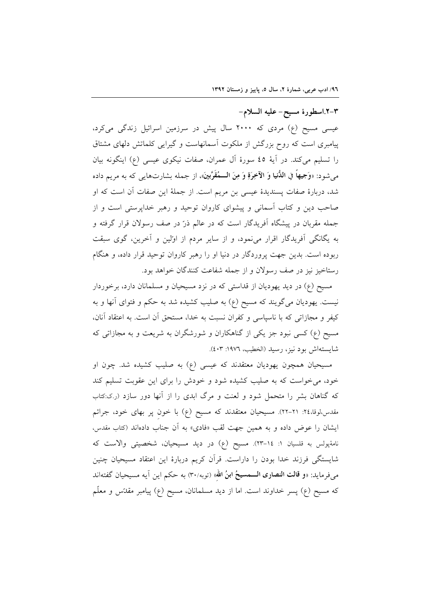٣-٢.اسطورة مسيح- عليه السلام-عیسی مسیح (ع) مردی که ۲۰۰۰ سال پیش در سرزمین اسرائیل زندگی میکرد، پیامبری است که روح بزرگش از ملکوت آسمانهاست و گیرایی کلماتش دلهای مشتاق را تسلیم میکند. در آیهٔ ٤٥ سورهٔ آل عمران، صفات نیکوی عیسی (ع) اینگونه بیان میشود: «وَجيهاً في اللُّنيا وَ الآخِرَةِ وَ مِنَ الــمُقَرَّبينَ»، از جمله بشارتهايي كه به مريم داده شد، دربارهٔ صفات پسندیدهٔ عیسی بن مریم است. از جملهٔ این صفات آن است که او صاحب دین و کتاب آسمانی و پیشوای کاروان توحید و رهبر خداپرستی است و از جمله مقربان در پیشگاه آفریدگار است که در عالم ذرّ در صف رسولان قرار گرفته و به یگانگی آفریدگار اقرار مینمود، و از سایر مردم از اولین و آخرین، گوی سبقت ربوده است. بدین جهت پروردگار در دنیا او را رهبر کاروان توحید قرار داده، و هنگام رستاخیز نیز در صف رسولان و از جمله شفاعت کنندگان خواهد بود.

مسیح (ع) در دید یهودیان از قداستی که در نزد مسیحیان و مسلمانان دارد، برخوردار نیست. یهودیان میگویند که مسیح (ع) به صلیب کشیده شد به حکم و فتوای آنها و به کیفر و مجازاتی که با ناسپاسی و کفران نسبت به خدا، مستحق آن است. به اعتقاد آنان، مسیح (ع) کسی نبود جز یکی از گناهکاران و شورشگران به شریعت و به مجازاتی که شايستهاش بود نيز، رسيد (الخطيب، ١٩٧٦: ٤٠٣).

مسیحیان همچون یهودیان معتقدند که عیسی (ع) به صلیب کشیده شد. چون او خود، می خواست که به صلیب کشیده شود و خودش را برای این عقوبت تسلیم کند که گناهان بشر را متحمل شود و لعنت و مرگ ابدی را از آنها دور سازد (ر.ک:کتاب مقدس،لوقا،٢٤: ٢١-٢٢). مسیحیان معتقدند که مسیح (ع) با خون پر بهای خود، جرائم ایشان را عوض داده و به همین جهت لقب «فادی» به آن جناب دادهاند (کتاب مقدس، نامهٔپولس به قلسیان ۱: ۱٤-۲۳). مسیح (ع) در دید مسیحیان، شخصیتی والاست که شایستگی فرزند خدا بودن را داراست. قرآن کریم دربارهٔ این اعتقاد مسیحیان چنین میفرماید: «**و قالت النصاری الـــمسیحُ ابنُ الله**» (توبه/٣٠) به حکم این آیه مسیحیان گفتهاند که مسیح (ع) پسر خداوند است. اما از دید مسلمانان، مسیح (ع) پیامبر مقدّس و معلّم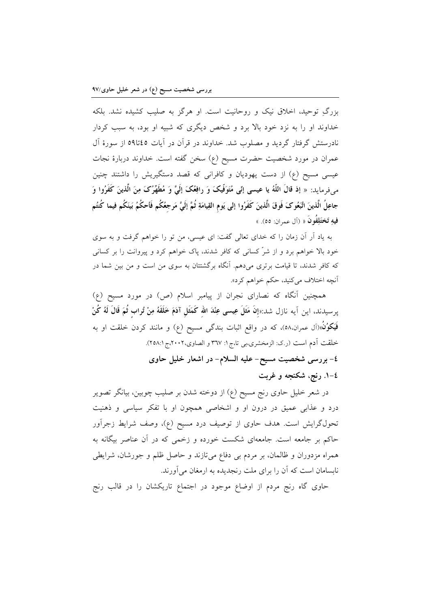بزرگ توحید، اخلاق نیک و روحانیت است. او هرگز به صلیب کشیده نشد. بلکه خداوند او را به نزد خود بالا برد و شخص دیگری که شبیه او بود، به سبب کردار نادرستش گرفتار گردید و مصلوب شد. خداوند در قرآن در آیات ۵۵تا۵۹ از سورهٔ آل عمران در مورد شخصیت حضرت مسیح (ع) سخن گفته است. خداوند دربارهٔ نجات عیسی مسیح (ع) از دست یهودیان و کافرانی که قصد دستگیریش را داشتند چنین می فرماید: « إذ قالَ اللَّهُ یا عیسی إنِّی مُتَوَفَّیکَ وَ رافِعُکَ إِلَیَّ وَ مُطَهِّرُکَ مِنَ الَّذينَ كَفَرُوا وَ جاعِلُ الَّذينَ اتَّبَعُوكَ فَوقَ الَّذينَ كَفَرُوا إلى يَوم القِيامَةِ ثُمَّ إلَيَّ مَرجعُكُم فَأحكُمُ بَينَكُم فيما كُنتُم فيهِ تَختَلِفُونَ « (آل عمران: ٥٥). »

به یاد آر آن زمان را که خدای تعالی گفت: ای عیسی، من تو را خواهم گرفت و به سوی خود بالا خواهم برد و از شرِّ کسانی که کافر شدند، پاک خواهم کرد و پیروانت را بر کسانی که کافر شدند، تا قیامت برتری میدهم. آنگاه برگشتتان به سوی من است و من بین شما در آنچه اختلاف مي کنيد، حکم خواهم کرد».

همچنین آنگاه که نصارای نجران از پیامبر اسلام (ص) در مورد مسیح (ع) پرسيدند، اين اَيه نازل شد:«إنَ مَثَلَ عِيسى عِنْدَ الله كَمَثَل آدَمَ خَلَقَهُ مِنْ تُراب ثُمَ قَالَ لَهُ كُنْ فَيَكُوُنُ»(آل عمران.٥٨)، كه در واقع اثبات بندگی مسیح (ع) و مانند كردن خلقت او به خلقت آدم است (ر.ک: الزمخشري،بي تا،ج۱: ۳٦٧ و الصاوي،٢٠٠٢،ج١٢٥٨:١. ٤- بررسی شخصیت مسیح- علیه السلام- در اشعار خلیل حاوی

٤–١. رنج، شكنجه و غربت

در شعر خلیل حاوی رنج مسیح (ع) از دوخته شدن بر صلیب چوبین، بیانگر تصویر درد و عذابی عمیق در درون او و اشخاصی همچون او با تفکر سیاسی و ذهنیت تحولگرایش است. هدف حاوی از توصیف درد مسیح (ع)، وصف شرایط زجرآور حاکم بر جامعه است. جامعهای شکست خورده و زخمی که در آن عناصر بیگانه به همراه مزدوران و ظالمان، بر مردم بی دفاع میتازند و حاصل ظلم و جورشان، شرایطی نابسامان است که آن را برای ملت رنجدیده به ارمغان میآورند.

حاوی گاه رنج مردم از اوضاع موجود در اجتماع تاریکشان را در قالب رنج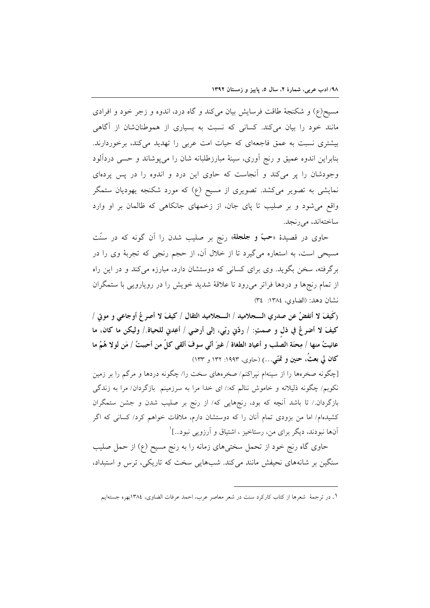مسیح(ع) و شکنجهٔ طاقت فرسایش بیان میکند و گاه درد، اندوه و زجر خود و افرادی مانند خود را بیان میکند. کسانی که نسبت به بسیاری از هموطنانشان از آگاهی بیشتری نسبت به عمق فاجعهای که حیات امت عربی را تهدید میکند، برخوردارند. بنابراین اندوه عمیق و رنج أوری، سینهٔ مبارزطلبانه شان را میپوشاند و حسی دردألود وجودشان را پر میکند و آنجاست که حاوی این درد و اندوه را در پس پردهای نمایشی به تصویر میکشد. تصویری از مسیح (ع) که مورد شکنجه یهودیان ستمگر واقع می شود و بر صلیب تا پای جان، از زخمهای جانکاهی که ظالمان بر او وارد ساختەاند، مى رنجد.

حاوی در قصیدهٔ «**حبّ و جلجلة**» رنج بر صلیب شدن را آن گونه که در سنّت مسیحی است، به استعاره میگیرد تا از خلال آن، از حجم رنجی که تجربهٔ وی را در برگرفته، سخن بگوید. وی برای کسانی که دوستشان دارد، مبارزه میکند و در این راه از تمام رنجها و دردها فراتر می رود تا علاقهٔ شدید خویش را در رویارویی با ستمگران نشان دهد: (الضاوى، ١٣٨٤: ٣٤)

(كَيفَ لا أنفضُ عن صدري الـــجلاميد / الـــجلاميد الثقال / كيفَ لا أصر عُ أوجاعي و موتى / كيفَ لا أضرعُ في ذلِ و صمتٍ: / ردّني ربّي، إلى أرضي / أعِدني للحياة./ وليكن ما كان، ما عانيتُ منها / مِحنَة الصلب و أعياد الطغاة / غيرَ أنّي سوفَ ألقي كلّ من أحببتُ / مَن لولا هُمُ ما کان لي بعثُ، حنين و تمَنّي…) (حاوی، ۱۹۹۳: ۱۳۲ و ۱۳۳)

[چگونه صخرهها را از سینهام نپراکنم/ صخرههای سخت را/ چگونه دردها و مرگم را بر زمین نکوبم/ چگونه ذلیلانه و خاموش ننالم که:/ ای خدا مرا به سرزمینم بازگردان/ مرا به زندگی بازگردان./ تا باشد آنچه که بود، رنجهایی که/ از رنج بر صلیب شدن و جشن ستمگران کشیدهام/ اما من بزودی تمام آنان را که دوستشان دارم، ملاقات خواهم کرد/ کسانی که اگر آنها نبودند، دیگر برای من، رستاخیز ، اشتیاق و آرزویی نبود...]`

حاوی گاه رنج خود از تحمل سختی۵ای زمانه را به رنج مسیح (ع) از حمل صلیب سنگین بر شانههای نحیفش مانند می کند. شبهایی سخت که تاریکی، ترس و استبداد،

ا . در ترجمهٔ شعرها از کتاب کارکرد سنت در شعر معاصر عرب، احمد عرفات الضاوی، ١٣٨٤بهره جستهایم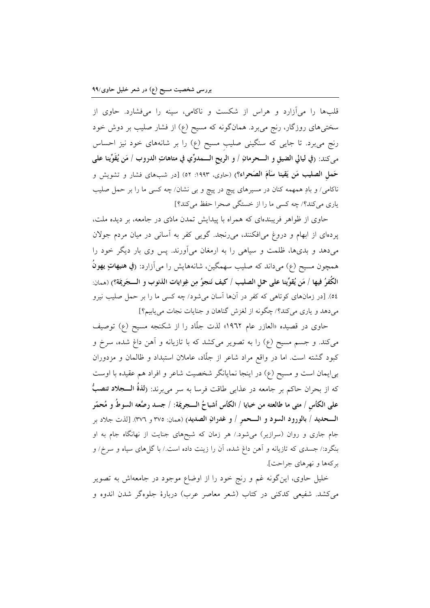قلبها را میآزارد و هراس از شکست و ناکامی، سینه را میفشارد. حاوی از سختیهای روزگار، رنج میبرد. همانگونه که مسیح (ع) از فشار صلیب بر دوش خود رنج میبرد. تا جایی که سنگینی صلیب مسیح (ع) را بر شانههای خود نیز احساس مي كند: (في ليالي الضيق و الـــحرمانِ / و الريح الـــمدوِّي في متاهاتِ الدروب / مَن يُقَوِّينا على حَملِ الصليبِ مَن يَقينا سَأَمَ الصَحراء؟) (حاوي، ١٩٩٣: ٥٢) [در شبهاي فشار و تشويش و ناکامی/ و بادِ همهمه کنان در مسیرهای پیچ در پیچ و بی نشان/ چه کسی ما را بر حمل صلیب یاری میکند؟/ چه کسی ما را از خستگی صحرا حفظ میکند؟]

حاوی از ظواهر فریبندهای که همراه با پیدایش تمدن مادّی در جامعه، بر دیده ملت، پردهای از ابهام و دروغ میافکنند، میرنجد. گویی کفر به آسانی در میان مردم جولان می،دهد و بدیها، ظلمت و سیاهی را به ارمغان میآورند. پس وی بار دیگر خود را همچون مسيح (ع) ميداند كه صليب سهمگين، شانههايش را مي آزارد: (في هنيهاتٍ يهونُ الكُفرُ فيها / مَن يُقوِّينا على حمل الصليب / كيف نَنجوُ مِن غِوايات الذنوب و الـــجَرِيمَة؟) (ممان: ٥٤). [در زمانهای کوتاهی که کفر در آنها آسان میشود/ چه کسی ما را بر حمل صلیب نیرو میدهد و یاری میکند؟/ چگونه از لغزش گناهان و جنایات نجات مییابیم؟]

حاوی در قصیده «العازر عام ۱۹٦۲» لذت جلّاد را از شکنجه مسیح (ع) توصیف میکند. و جسم مسیح (ع) را به تصویر میکشد که با تازیانه و آهن داغ شده، سرخ و کبود گشته است. اما در واقع مراد شاعر از جلّاد، عاملان استبداد و ظالمان و مزدوران بی|یمان است و مسیح (ع) در اینجا نمایانگر شخصیت شاعر و افراد هم عقیده با اوست كه از بحران حاكم بر جامعه در عذابي طاقت فرسا به سر ميبرند: (**لذةُ الــــجلاد تنصبُ**ّ على الكأس / متى ما طالعته من خبايا / الكأس أشباحُ الـــجريمَة: / جسد رصَّعه السوطُ و مُحمّرِ الــحديد / بالورود السود و الــحمر / و غدرانِ الصديد) (ممان: ٣٧٥ و ٣٧٦). [لذت جلاد بر جام جاری و روان (سرازیر) میشود./ هر زمان که شبحهای جنایت از نهانگاه جام به او بنگرد:/ جسدی که تازیانه و آهن داغ شده، آن را زینت داده است./ با گلهای سیاه و سرخ/ و بر كهها و نهرهاي جراحت].

خلیل حاوی، اینگونه غم و رنج خود را از اوضاع موجود در جامعهاش به تصویر می کشد. شفیعی کدکنی در کتاب (شعر معاصر عرب) دربارهٔ جلوهگر شدن اندوه و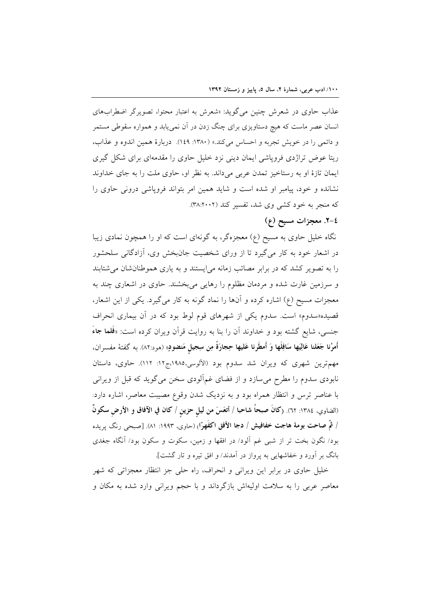عذاب حاوی در شعرش چنین می گوید: «شعرش به اعتبار محتوا، تصویرگر اضطرابهای انسان عصر ماست که هیچ دستاویزی برای چنگ زدن در آن نمی،یابد و همواره سقوطی مستمر و دائمي را در خويش تجربه و احساس مي كند.» (١٣٨٠: ١٤٩). دربارهٔ همين اندوه و عذاب، ریتا عوض تراژدی فروپاشی ایمان دینی نزد خلیل حاوی را مقدمهای برای شکل گیری ایمان تازهٔ او به رستاخیز تمدن عربی میداند. به نظر او، حاوی ملت را به جای خداوند نشانده و خود، پیامبر او شده است و شاید همین امر بتواند فروپاشی درونی حاوی را که منجر به خود کشی وی شد، تفسیر کند (۳۸:۲۰۰۲).

# ٤-٢. معجزات مسيح (ع)

نگاه خلیل حاوی به مسیح (ع) معجزهگر، به گونهای است که او را همچون نمادی زیبا در اشعار خود به کار میگیرد تا از ورای شخصیت جانبخش وی، آزادگانی سلحشور را به تصویر کشد که در برابر مصائب زمانه می ایستند و به یاری هموطنانشان می شتابند و سرزمین غارت شده و مردمان مظلوم را رهایی میبخشند. حاوی در اشعاری چند به معجزات مسیح (ع) اشاره کرده و آنها را نماد گونه به کار میگیرد. یکی از این اشعار، قصیده«سدوم» است. سدوم یکی از شهرهای قوم لوط بود که در آن بیماری انحراف جنسی، شایع گشته بود و خداوند آن را بنا به روایت قرآن ویران کرده است: «**فَلما ج**اءَ أَمرُنا جَعَلنا عَالِيَها سَافِلَها وَ أَمطَرنا عَليها حِجارَةً مِن سِجيلٍ مَنضووٍ» (هود:٨٢). به گفتهٔ مفسران، مهمترین شهری که ویران شد سدوم بود (الألوسی،۱۹۸۵،ج۱۲: ۱۱۲). حاوی، داستان نابودی سدوم را مطرح میسازد و از فضای غمآلودی سخن میگوید که قبل از ویرانی با عناصر ترس و انتظار همراه بود و به نزدیک شدن وقوع مصیبت معاصر، اشاره دارد: (الضاوي، ١٣٨٤: ٦٢). (كانَ صبحاً شاحبا / أتعَسَ من ليلٍ حزينٍ / كان في الآفاق و الأرضِ سكونٌ / ثمَّ صاحت بومة هاجت خفافيش / دجا الأفق اكفَهرّا<sub>ً</sub> (حاوي، ١٩٩٣: ٨١). [صبحي رنگ يريده بود/ نگون بخت تر از شبی غم آلود/ در افقها و زمین، سکوت و سکون بود/ آنگاه جغدی بانگ بر آورد و خفاشهایی به پرواز در آمدند/ و افق تیره و تار گشت].

خلیل حاوی در برابر این ویرانی و انحراف، راه حلی جز انتظار معجزاتی که شهر معاصر عربی را به سلامت اولیهاش بازگرداند و با حجم ویرانی وارد شده به مکان و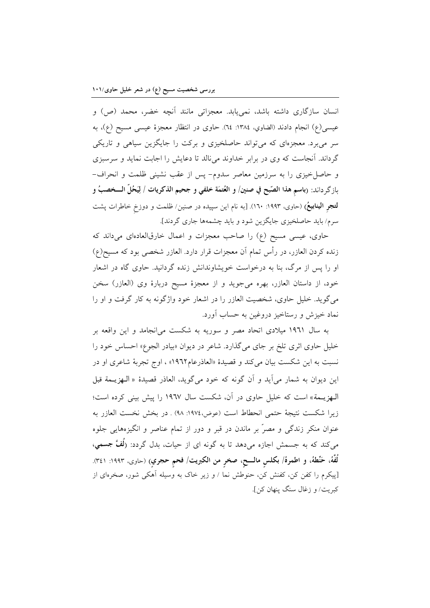انسان سازگاری داشته باشد، نمی یابد. معجزاتی مانند آنچه خضر، محمد (ص) و عيسى(ع) انجام دادند (الضاوي، ١٣٨٤: ٦٤). حاوى در انتظار معجزة عيسى مسيح (ع)، به سر میبرد. معجزمای که میتواند حاصلخیزی و برکت را جایگزین سیاهی و تاریکی گرداند. آنجاست که وی در برابر خداوند می نالد تا دعایش را اجابت نماید و سرسبزی و حاصل خیزی را به سرزمین معاصر سدوم- پس از عقب نشینی ظلمت و انحراف-بازگرداند: (باسم هذا الصّبح في صنين/ و العُتمَة خلفي و جحيم الذكريات / لِيَحُلُّ الـــخصبُ و لتجر الینابیعُ) (حاوی، ۱۹۹۳: ۱٦۰). [به نام این سپیده در صنین/ ظلمت و دوزخ خاطرات پشت سرم/ باید حاصلخیزی جایگزین شود و باید چشمهها جاری گردند].

حاوی، عیسی مسیح (ع) را صاحب معجزات و اعمال خارقالعادهای میداند که زنده کردن العازر، در رأس تمام آن معجزات قرار دارد. العازر شخصی بود که مسیح(ع) او را پس از مرگ، بنا به درخواست خویشاوندانش زنده گردانید. حاوی گاه در اشعار خود، از داستان العازر، بهره ميجويد و از معجزهٔ مسيح دربارهٔ وي (العازر) سخن می گوید. خلیل حاوی، شخصیت العازر را در اشعار خود واژگونه به کار گرفت و او را نماد خيزش و رستاخيز دروغين به حساب أورد.

به سال ۱۹۶۱ میلادی اتحاد مصر و سوریه به شکست می|نجامد و این واقعه بر خلیل حاوی اثری تلخ بر جای میگذارد. شاعر در دیوان «بیادر الجوع» احساس خود را نسبت به این شکست بیان میکند و قصیدهٔ «العاذرعام١٩٦٢» ، اوج تجربهٔ شاعری او در این دیوان به شمار میآید و آن گونه که خود میگوید، العاذر قصیدهٔ « الـهزیـمة قبل الـهزیـمة» است که خلیل حاوی در آن، شکست سال ۱۹٦۷ را پیش بینی کرده است؛ زيرا شكست نتيجة حتمي انحطاط است (عوض،١٩٧٤: ٩٨) . در بخش نخست العازر به عنوان منکر زندگی و مصرٌ بر ماندن در قبر و دور از تمام عناصر و انگیزههایی جلوه میکند که به جسمش اجازه میدهد تا به گونه ای از حیات، بدل گردد: (**ُلُفَّ جسمي**، لُفَّهُ، حَنَّطهُ، و اطمرهُ/ بكلس مالـــح، صخر من الكبريت/ فحم حجري) (حاوى، ١٩٩٣: ٣٤١). [پیکرم را کفن کن، کفنش کن، حنوطش نما / و زیر خاک به وسیله آهکی شور، صخرهای از كبريت/ و زغال سنگ ينهان كن].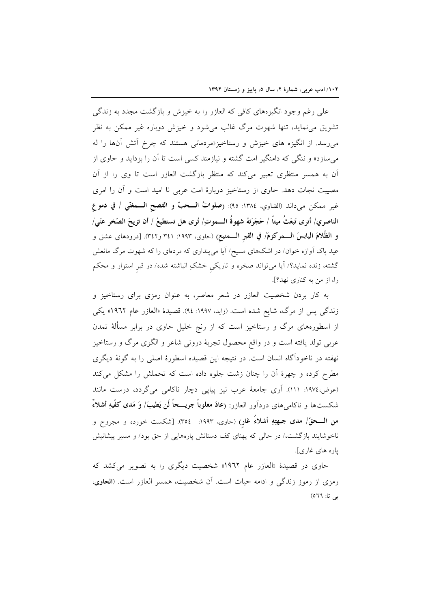علی رغم وجود انگیزههای کافی که العازر را به خیزش و بازگشت مجدد به زندگی تشویق می،نماید، تنها شهوت مرگ غالب می شود و خیزش دوباره غیر ممکن به نظر می رسد. از انگیزه های خیزش و رستاخیز«مردمانی هستند که چرخ آتش آنها را له می سازد» و ننگی که دامنگیر امت گشته و نیازمند کسی است تا آن را بزداید و حاوی از اّن به همسر منتظری تعبیر میکند که منتظر بازگشت العازر است تا وی را از آن مصیبت نجات دهد. حاوی از رستاخیز دوبارهٔ امت عربی نا امید است و آن را امری غير ممكن مي داند (الضاوي، ١٣٨٤: ٩٥): (صلواتُ الـــحبّ و الفصح الـــمغنّى / في دموع الناصري/ أترى تَبعَثُ ميتاً / حَجَرَتهُ شهوةُ الـــموتِ/ تُرى هل تستطيعُ / أن تزيحَ الصّخرِ عنّي/ و الظَّلامَ اليابسَ الـــمركومَ/ في القبر الـــمنيع) (حاوي، ١٩٩٣: ٣٤١ و٣٤٢). [درودهاي عشق و عید پاک اَوازه خوان/ در اشکهای مسیح/ اَیا میپنداری که مردهای را که شهوت مرگ مانعش گشته، زنده نماید؟/ آیا میتواند صخره و تاریکی خشکِ انباشته شده/ در قبر استوار و محکم را، از من به کناری نهد؟].

به کار بردن شخصیت العازر در شعر معاصر، به عنوان رمزی برای رستاخیز و زندگی پس از مرگ، شایع شده است. (زاید، ۱۹۹۷: ۹٤). قصیدهٔ «العازر عام ۱۹٦۲» یکی از اسطورههای مرگ و رستاخیز است که از رنج خلیل حاوی در برابر مسألهٔ تمدن عربی تولد یافته است و در واقع محصول تجربهٔ درونی شاعر و الگوی مرگ و رستاخیز نهفته در ناخودآگاه انسان است. در نتیجه این قصیده اسطورهٔ اصلی را به گونهٔ دیگری مطرح کرده و چهرهٔ آن را چنان زشت جلوه داده است که تحملش را مشکل می کند (عوض،١٩٧٤: ١١١). اَرى جامعهٔ عرب نيز پياپي دچار ناكامي ميگردد، درست مانند شكستها و ناكام هاي دردآور العازر: (عادَ مغلوباً جريـــحاً لَن يَطيبَ/ وَ مَدى كفَّيهِ أشلاءٌ من الـــحقّ/ مدى جبهتِهِ أشلاءُ غارٍ) (حاوي. ١٩٩٣: ٢٥٤). [شكست خورده و مجروح و ناخوشایند بازگشت،/ در حالی که پهنای کف دستانش پارههایی از حق بود/ و مسیر پیشانیش ياره هاي غاري].

حاوي در قصيدهٔ «العازر عام ١٩٦٢» شخصيت ديگري را به تصوير مي كشد كه رمزی از رموز زندگی و ادامه حیات است. آن شخصیت، همسر العازر است. (الحاوی، بي تا: ٥٦٦)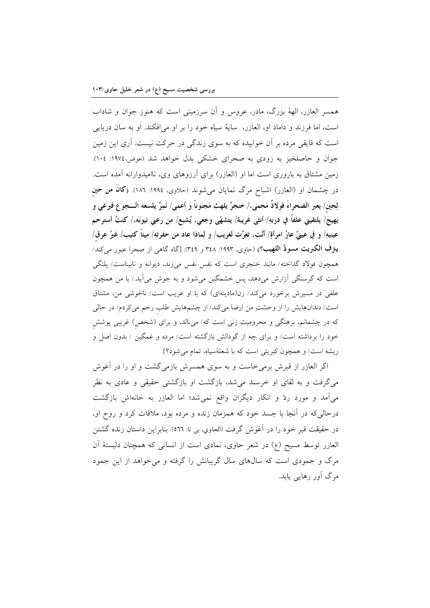همسر العازر، الههٔ بزرگ، مادر، عروس و أن سرزمینی است که هنوز جوان و شاداب است، اما فرزند و داماد او، العازر، ساية سياه خود را بر او مي افكند. او به سان دريايي است که قایقی مرده بر آن خوابیده که به سوی زندگی در حرکت نیست. آری این زمین جوان و حاصلخیز به زودی به صحرای خشکی بدل خواهد شد (عوض،١٩٧٤: ١٠٤). زمین مشتاق به باروری است اما او (العازر) برای آرزوهای وی، ناامیدوارانه آمده است. در چشمان او (العازر) اشباح مرگ نمایان میشوند (حلاوی، ۱۹۹٤: ۱۸٦). (**کانَ من حین** لِحين/ يعبر الصحراءَ فولاذٌ مَحمى،/ خنجرٌ يلهث مَجنوناً و أعمى/ نَمِرٌ يلسعه الــــجو ع فيرغى و يهيج/ يلتقيني علفاً في دربهِ/ أنثى غريبة/ يتشهّى وجعى، يُشبع/ من رعبي نيوبَه،/ كنتُ أسترحم عينيهِ/ و في عينيّ عارُ امرأةٍ/ أنَّت، تعرَّت لغريب/ و لِماذا عاد من حفرتهِ/ ميتاً كنيب/ غيرُ عِرق/ يترف الكبريت مسودَّ اللهيب؟) (حاوي، ١٩٩٣: ٣٤٨ و ٣٤٩). [گاه گاهي از صحرا عبور مي كند/ همچون فولاد گداخته/ مانند خنجری است که نفس نفس می(ند، دیوانه و نابیناست/ پلنگی است که گرسنگی آزارش میدهد، پس خشمگین میشود و به جوش میآید./ با من همچون علفی در مسیرش برخورد میکند/ زن(مادینهای) که با او غریب است/ ناخوشی من، مشتاق است/ دندانهایش را از وحشتِ من ارضا میکند/ از چشمهایش طلب رحم میکردم/ در حالی که در چشمانم، برهنگی و محرومیتِ زنی است که/ میiالد، و برای (شخص) غریبی پوشش خود را برداشته است/ و برای چه از گودالش بازگشته است/ مرده و غمگین / بدون اصل و ریشه است/ و همچون کبریتی است که با شعلهٔسیاه، تمام می شود؟]

اگر العازر از قبرش برمی خاست و به سوی همسرش بازمی گشت و او را در آغوش می گرفت و به لقای او خرسند می شد، بازگشت او بازگشتی حقیقی و عادی به نظر می آمد و مورد ردّ و انکار دیگران واقع نمی شد؛ اما العازر به خانهاش بازگشت درحالی که در أنجا با جسد خود که همزمان زنده و مرده بود، ملاقات کرد و روح او، در حقيقت قبر خود را در اَغوش گرفت (الحاوي، بي تا: ٥٦٦). بنابراين داستان زنده گشتن العازر توسط مسیح (ع) در شعر حاوی، نمادی است از انسانی که همچنان دلبستهٔ اَن مرگ و جمودی است که سالهای سال گریبانش را گرفته و می خواهد از این جمود مرگ آور رهایی یابد.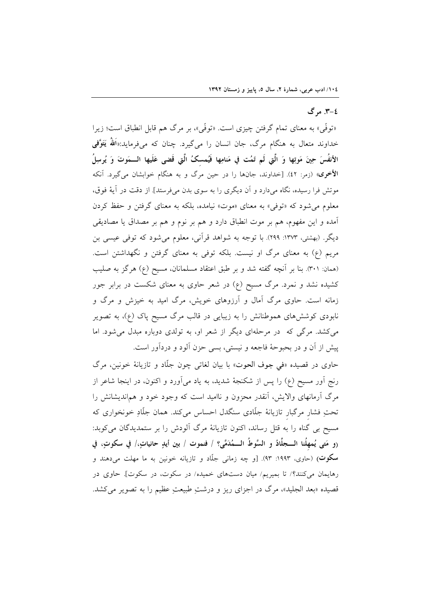### ٤-٣. مرگ

«توفّي» به معناي تمام گرفتن چيزي است. «توفّي»، بر مرگ هم قابل انطباق است؛ زيرا خداوند متعال به هنگام مرگ، جان انسان را میگیرد. چنان که میفرماید:«اَللهُ یَتَوَّفی الأنفُسَ حِينَ مَوتِها وَ الَّتِي لَم تَمُت في مَنامِها فَيُمسكُ الَّتِي قَضى عَلَيها الـــمَوتَ وَ يُرسِلُ الأخرى» (زمر: ٤٢). [خداوند، جانها را در حين مرگ و به هنگام خوابشان مىگيرد. آنكه موتش فرا رسیده، نگاه میدارد و آن دیگری را به سوی بدن میفرستد]. از دقت در آیهٔ فوق، معلوم میشود که «توفی» به معنای «موت» نیامده، بلکه به معنای گرفتن و حفظ کردن آمده و این مفهوم، هم بر موت انطباق دارد و هم بر نوم و هم بر مصداق یا مصادیقی دیگر. (بهشتی، ۱۳۷۳: ۲۹۹). با توجه به شواهد قرآنی، معلوم میشود که توفی عیسی بن مریم (ع) به معنای مرگ او نیست. بلکه توفی به معنای گرفتن و نگهداشتن است. (همان: ٣٠١). بنا بر آنچه گفته شد و بر طبق اعتقاد مسلمانان، مسیح (ع) هرگز به صلیب کشیده نشد و نمرد. مرگ مسیح (ع) در شعر حاوی به معنای شکست در برابر جور زمانه است. حاوی مرگ آمال و آرزوهای خویش، مرگ امید به خیزش و مرگ و نابودی کوشش های هموطنانش را به زیبایی در قالب مرگ مسیح پاک (ع)، به تصویر می کشد. مرگی که در مرحلهای دیگر از شعر او، به تولدی دوباره مبدل می شود. اما پیش از آن و در بحبوحهٔ فاجعه و نیستی، بسی حزن آلود و دردآور است.

حاوي در قصيده «في جوف الحوت» با بيان لغات<sub>ي</sub> چون جلّاد و تازيانهٔ خونين، مرگ رنج اَور مسیح (ع) را پس از شکنجهٔ شدید، به یاد میآورد و اکنون، در اینجا شاعر از مرگ آرمانهای والایش، آنقدر محزون و ناامید است که وجود خود و هماندیشانش را تحتِ فشار مرگبار تازیانهٔ جلّادی سنگدل احساس میکند. همان جلّادِ خونخواری که مسیح بی گناه را به قتل رساند، اکنون تازیانهٔ مرگ آلودش را بر ستمدیدگان میکوبد: (و مَتى يُمهلُنا الــجلَّادُ و السَّوطُ الــمُدَمَّى؟ / فنموت / بين أيدٍ حانياتٍ،/ في سكوتٍ، في **سکوت**) (حاوی، ۱۹۹۳: ۹۳). [و چه زمانی جلّاد و تازیانه خونین به ما مهلت میدهند و رهایمان میکنند؟/ تا بمیریم/ میان دستهای خمیده/ در سکوت، در سکوت]. حاوی در قصیده «بعد الجلید»، مرگ در اجزای ریز و درشتِ طبیعتِ عظیم را به تصویر می کشد.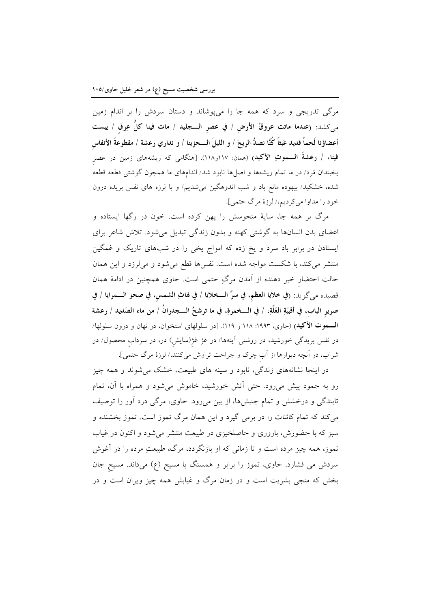مرگی تدریجی و سرد که همه جا را میپوشاند و دستان سردش را بر اندام زمین مىكشد: (عندما ماتت عروقُ الأرض / في عصر الـــجليد / مات فينا كلُّ عِرق / يبست أعضاؤنا لَحماً قديد عَبثاً كُنَّا نصدُّ الريحَ / و الليلَ الـــحزينا / و نداري رعشة / مقطوعةَ الأنفاس فينا، / رعشةَ الـــموتِ الأكيدِ) (همان: ١١٧و١١٨). [هنگامی که ريشههای زمين در عصر یخبندان مُرد/ در ما تمام ریشهها و اصلها نابود شد/ اندامهای ما همچون گوشتی قطعه قطعه شده، خشکید/ بیهوده مانع باد و شب اندوهگین میشدیم/ و با لرزه های نفس بریده درون خود را مداوا مي كرديم،/ لرزهٔ مرگ حتمي].

مرگ بر همه جا، سایهٔ منحوسش را یهن کرده است. خون در رگها ایستاده و اعضای بدن انسانها به گوشتی کهنه و بدون زندگی تبدیل میشود. تلاش شاعر برای ایستادن در برابر باد سرد و یخ زده که امواج یخی را در شبهای تاریک و غمگین منتشر می کند، با شکست مواجه شده است. نفس ها قطع می شود و می لرزد و این همان حالت احتضار خبر دهنده از آمدن مرگِ حتمی است. حاوی همچنین در ادامهٔ همان قصيده مي گويد: (في خلايا العظم، في سرِّ الــخلايا / في لهاثِ الشمس، في صحو الـــمرايا / في صرير الباب، في أقبيَةِ الغَلَّةِ، / في الـــخمرةِ، في ما ترشحُ الـــجدرانُ / من ماء الصَديد / رعشة الـــموت الأكيد) (حاوي، ١٩٩٣: ١١٨ و ١١٩). [در سلولهاي استخوان، در نهان و درون سلولها/ در نفس بریدگی خورشید، در روشنی آینهها/ در غژ غژ(سایش) در، در سرداب محصول/ در شراب، در آنچه دیوارها از آب چرک و جراحت تراوش میکنند،/ لرزهٔ مرگ حتمی].

در اینجا نشانههای زندگی، نابود و سینه های طبیعت، خشک میشوند و همه چیز رو به جمود پیش میرود. حتی اّتش خورشید، خاموش میشود و همراه با آن، تمام تابندگی و درخشش و تمام جنبشها، از بین میرود. حاوی، مرگی درد آور را توصیف میکند که تمام کائنات را در برمی گیرد و این همان مرگ تموز است. تموز بخشنده و سبز که با حضورش، باروری و حاصلخیزی در طبیعت منتشر می شود و اکنون در غیاب تموز، همه چیز مرده است و تا زمانی که او بازنگردد، مرگ، طبیعتِ مرده را در آغوش سردش می فشارد. حاوی، تموز را برابر و همسنگ با مسیح (ع) میداند. مسیح جان بخش که منجی بشریت است و در زمان مرگ و غیابش همه چیز ویران است و در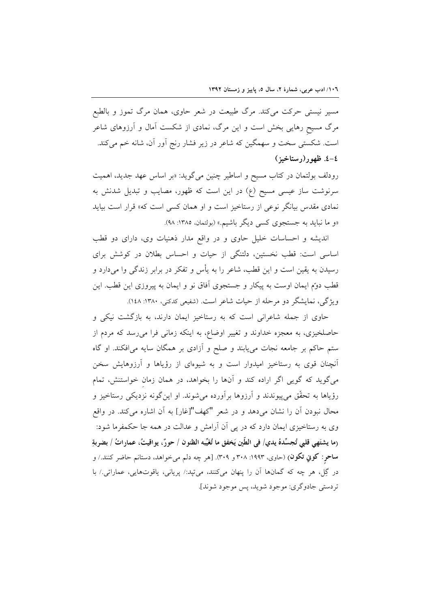مسیر نیستی حرکت میکند. مرگ طبیعت در شعر حاوی، همان مرگ تموز و بالطبع مرگ مسیح رهایی بخش است و این مرگ، نمادی از شکست آمال و آرزوهای شاعر است. شکستی سخت و سهمگین که شاعر در زیر فشار رنج آور آن، شانه خم میکند. ٤-٤. ظهور(رستاخيز)

رودلف بولتمان در کتاب مسیح و اساطیر چنین میگوید: «بر اساس عهد جدید، اهمیت سرنوشت ساز عیسی مسیح (ع) در این است که ظهور، مصایب و تبدیل شدنش به نمادی مقدس بیانگر نوعی از رستاخیز است و او همان کسی است که» قرار است بیاید «و ما نباید به جستجوی کسی دیگر باشیم.» (بولتمان، ۱۳۸۵: ۹۸).

اندیشه و احساسات خلیل حاوی و در واقع مدار ذهنیات وی، دارای دو قطب اساسی است: قطب نخستین، دلتنگی از حیات و احساس بطلان در کوشش برای رسیدن به یقین است و این قطب، شاعر را به پأس و تفکر در برابر زندگی وا میدارد و قطب دوّم ایمان اوست به پیکار و جستجوی آفاق نو و ایمان به پیروزی این قطب. این ویژگی، نمایشگر دو مرحله از حیات شاعر است. (شفیعی کدکنی، ۱۳۸۰: ۱٤۸).

حاوی از جمله شاعرانی است که به رستاخیز ایمان دارند، به بازگشت نیکی و حاصلخیزی، به معجزه خداوند و تغییر اوضاع، به اینکه زمانی فرا میرسد که مردم از ستم حاکم بر جامعه نجات می یابند و صلح و آزادی بر همگان سایه می افکند. او گاه آنچنان قوی به رستاخیز امیدوار است و به شیوهای از رؤیاها و آرزوهایش سخن می گوید که گویی اگر اراده کند و آنها را بخواهد، در همان زمان خواستنش، تمام رؤیاها به تحقّق میٍپیوندند و اَرزوها براَورده میشوند. او اینگونه نزدیکی رستاخیز و محال نبودن آن را نشان میدهد و در شعر "کهف"[غار] به آن اشاره میکند. در واقع وی به رستاخیزی ایمان دارد که در پی آن آرامش و عدالت در همه جا حکمفرما شود: (ما يشتَهي قلبي تُجسِّدهُ يدي/ في الطِّين يَخفق ما تُغَيِّبه الظنوِ ن / حورٌ ، يواقيتُ، عماراتُ / بضربةِ ساحر: کوڼي تکون) (حاوي، ۱۹۹۳: ۳۰۸ و ۳۰۹). [هر چه دلم ميخواهد، دستانم حاضر کنند./ و در گِل، هر چه که گمانها اَن را پنهان میکنند، میتپد:/ پریانی، یاقوتهایی، عماراتی./ با تر دستي جادوگري: موجو د شويد، پس موجو د شوند].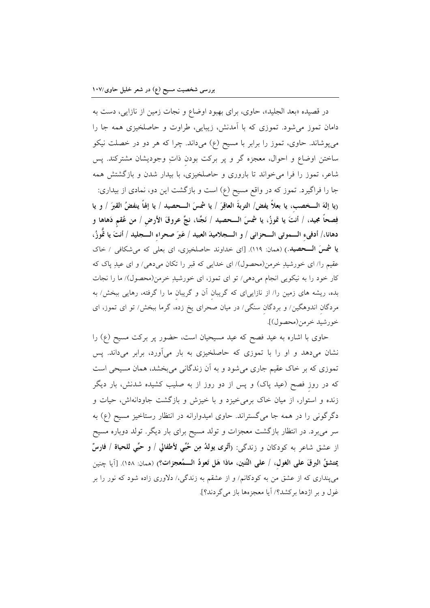در قصیده «بعد الجلید»، حاوی، برای بهبود اوضاع و نجات زمین از نازایی، دست به دامان تموز میشود. تموزی که با آمدنش، زیبایی، طراوت و حاصلخیزی همه جا را میپوشاند. حاوی، تموز را برابر با مسیح (ع) میداند. چرا که هر دو در خصلت نیکو ساختن اوضاع و احوال، معجزه گر و پر برکت بودن ذاتِ وجودیشان مشترکند. پس شاعر، تموز را فرا می خواند تا باروری و حاصلخیزی، با بیدار شدن و بازگشتش همه جا را فراگیرد. تموز که در واقع مسیح (ع) است و بازگشت این دو، نمادی از بیداری: ريا إلهَ الـــخصب، يا بعلاً يفض/ التربةَ العاقِرَ / يا شمسَ الـــحصيد / يا إلهاً ينفضُ القبرَ / و يا فِصحاً مجيد، / أنتَ يا تموزُ، يا شمسَ الـــحصيد / نَجِّنا، نجِّ عروقَ الأرض / من عُقم دَهاها و دهانا،/ أدفىء الـــموتى الـــحزانى / و الــــجلاميدَ العبيد / عَبرَ صحراء الــــجليد / أنتَ يا تَّموزُ، **یا شمسَ الـــحصید.**) (همان: ۱۱۹). [ای خداوند حاصلخیزی، ای بعلی که میشکافی / خاک عقیم را/ ای خورشیدِ خرمن(محصول)/ ای خدایی که قبر را تکان میدهی/ و ای عیدِ پاک که کار خود را به نیکویی انجام میدهی/ تو ای تموز، ای خورشیدِ خرمن(محصول)/ ما را نجات بده، ریشه های زمین را/ از نازاییای که گریبان آن و گریبان ما را گرفته، رهایی ببخش/ به مردگان اندوهگین/ و بردگان سنگی/ در میان صحرای یخ زده، گرما ببخش/ تو ای تموز، ای خورشيد خرمن(محصول)].

حاوی با اشاره به عید فصح که عید مسیحیان است، حضور پر برکت مسیح (ع) را نشان میدهد و او را با تموزی که حاصلخیزی به بار میآورد، برابر میداند. پس تموزی که بر خاک عقیم جاری میشود و به آن زندگانی میبخشد، همان مسیحی است که در روز فصح (عید پاک) و پس از دو روز از به صلیب کشیده شدنش، بار دیگر زنده و استوار، از میان خاک برمی خیزد و با خیزش و بازگشت جاودانهاش، حیات و دگرگونی را در همه جا میگستراند. حاوی امیدوارانه در انتظار رستاخیز مسیح (ع) به سر میبرد. در انتظار بازگشت معجزات و تولد مسیح برای بار دیگر. تولد دوباره مسیح از عشق شاعر به كودكان و زندگي: (أَثَرى يوللُه مِن حُبِّي لأطفالي / و حبِّي للحياة / فارسٌ يمتشقُ البرقَ على الغول، / على التِّنين، ماذا هَل تَعودُ الـــمُعجزات؟) (ممان: ١٥٨). [آيا چنين می پنداری که از عشق من به کودکانم/ و از عشقم به زندگی،/ دلاوری زاده شود که نور را بر غول و بر اژدها برکشد؟/ اَیا معجز مها باز می گردند؟].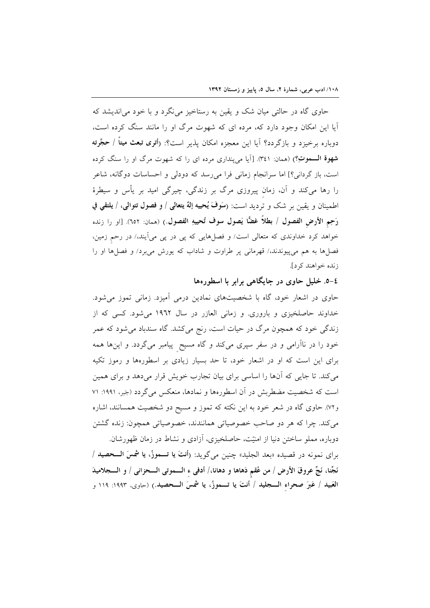حاوی گاه در حالتی میان شک و یقین به رستاخیز می نگرد و با خود می اندیشد که آیا این امکان وجود دارد که، مرده ای که شهوت مرگ او را مانند سنگ کرده است، دوباره برخیزد و بازگردد؟ آیا این معجزه امکان پذیر است؟: (أ**تری تبعث میتاً** / **حجَّرته** شهوة السموتِ؟) (همان: ٣٤١). [أيا مي ينداري مرده اي را كه شهوت مرگ او را سنگ كرده است، باز گردانی؟] اما سرانجام زمانی فرا می رسد که دودلی و احساسات دوگانه، شاعر را رها میکند و آن، زمان پیروزی مرگ بر زندگی، چیرگی امید بر یأس و سیطرهٔ اطمينان و يقين بر شک و ترديد است: (سَوْفَ يُحييه إلهٌ يتعالى / و فصول تتوالى، / يلتقى في رَحِمِ الأرضِ الفصول / بطلاً غضًّا يَصول سوف تُحييهِ الفصول.) (ممان: ٦٥٢). [او را زنده خواهد کرد خداوندی که متعالی است/ و فصلهایی که پی در پی میآیند،/ در رحم زمین، فصلها به هم میپیوندند،/ قهرمانی پر طراوت و شاداب که یورش میبرد/ و فصلها او را زنده خواهند کرد].

## ٤-٥. خليل حاوي در جايگاهي برابر با اسطورهها

حاوی در اشعار خود، گاه با شخصیتهای نمادین درمی آمیزد. زمانی تموز می شود. خداوند حاصلخیزی و باروری. و زمانی العازر در سال ۱۹٦۲ میشود. کسی که از زندگی خود که همچون مرگ در حیات است، رنج میکشد. گاه سندباد میشود که عمر خود را در ناآرامی و در سفر سپری میکند و گاه مسیح پیامبر میگردد. و اینها همه برای این است که او در اشعار خود، تا حد بسیار زیادی بر اسطورهها و رموز تکیه می کند. تا جایی که آنها را اساسی برای بیان تجارب خویش قرار میدهد و برای همین است که شخصیت مضطربش در آن اسطورهها و نمادها، منعکس میگردد (جَبر، ۱۹۹۱: ۷۱ و۷۲). حاوی گاه در شعر خود به این نکته که تموز و مسیح دو شخصیت همسانند، اشاره می کند. چرا که هر دو صاحب خصوصیاتی همانندند، خصوصیاتی همچون: زنده گشتن

دوباره، مملو ساختن دنیا از امنیّت، حاصلخیزی، آزادی و نشاط در زمان ظهورشان. براي نمونه در قصيده «بعد الجليد» چنين ميگويد: (أنتَ يا تــموزُ، يا شمسَ الـــحصيد / نَجِّنا، نَجِّ عروقَ الأرض / من عُقم دَهاها و دهانا،/ أدفى ء الـــموتى الـــحزانى / و الــــجلاميدَ العَبيد / عَبرَ صحراء الـــجليد / أنتَ يا تـــموزُ، يا شمسَ الـــحصيد.) (حاوي، ١٩٩٣: ١١٩ و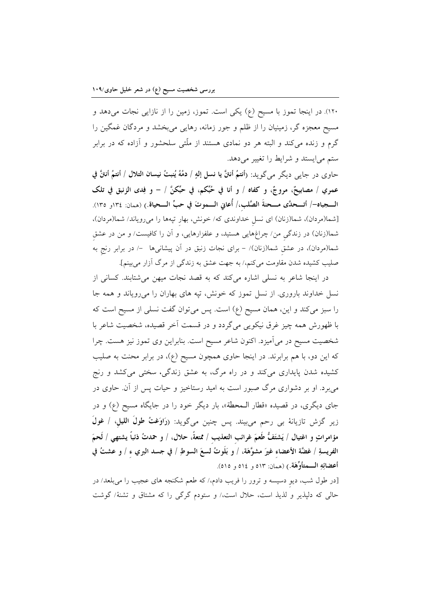۱۲۰). در اینجا تموز با مسیح (ع) یکی است. تموز، زمین را از نازایی نجات میدهد و مسیح معجزه گر، زمینیان را از ظلم و جور زمانه، رهایی میبخشد و مردگان غمگین را گرم و زنده می کند و البته هر دو نمادی هستند از ملّتی سلحشور و آزاده که در برابر ستم می ایستد و شرایط را تغییر می دهد.

حاوي در جايبي ديگر ميگويد: (أنتمُ أنتنَّ يا نسل إلهٍ / دمُهُ يُنبتُ نيسان التلال / أنتمُ أنتنَّ في عمري / مصابيحٌ، مروجٌ، و كفاه / و أنا في حُبِّكم، في حُبِّكنَّ / – و فِدى الزنبق في تلك الــــجباه–/ أتـــحدَّى مـــحنةَ الصَّلب،/ أُعاني الـــموتَ في حبِّ الـــحياة.) (همان: ١٣٤و ١٣٥). [شما(مردان)، شما(زنان) ای نسل خداوندی که/ خونش، بهار تپهها را میرویاند/ شما(مردان)، شما(زنان) در زندگی من/ چراغهایی هستید، و علفزارهایی، و آن را کافیست/ و من در عشق شما(مردان)، در عشق شما(زنان)/ – برای نجات زنبق در آن پیشانیها  $-$  در برابر رنج به صلیب کشیده شدن مقاومت میکنم،/ به جهت عشق به زندگی از مرگ آزار میبینم].

در اینجا شاعر به نسلی اشاره میکند که به قصد نجات میهن میشتابند. کسانی از نسل خداوند باروری. از نسل تموز که خونش، تپه های بهاران را می رویاند و همه جا را سبز میکند و این، همان مسیح (ع) است. پس میتوان گفت نسلی از مسیح است که با ظهورش همه چیز غرق نیکویی میگردد و در قسمت آخر قصیده، شخصیت شاعر با شخصیت مسیح در میآمیزد. اکنون شاعر مسیح است. بنابراین وی تموز نیز هست. چرا که این دو، با هم برابرند. در اینجا حاوی همچون مسیح (ع)، در برابر محنت به صلیب کشیده شدن پایداری میکند و در راه مرگ، به عشق زندگی، سختی میکشد و رنج می برد. او بر دشواری مرگ صبور است به امید رستاخیز و حیات پس از آن. حاوی در جای دیگری، در قصیده «قطار الـمحطة»، بار دیگر خود را در جایگاه مسیح (ع) و در زير گزش تازيانهٔ بي رحم ميبيند. پس چنين ميگويد: (رَاوَغتُ طولَ الليل، / غولَ مؤامراتٍ و اغتيال / يَشتَفُّ طَعمَ غرائب التعذيب / ممتعةً، حلال، / و حمدتُ ذئباً يشتهي / لَحمَ الفريسةِ / غضَّة الأعضاء غيرَ مشوَّهَة، / و بَلَوتُ لسعَ السوطِ / في جسد البري ء / و عشتُ في أعضائِهِ السَّمتأوِّهَة.) (همان: ٥١٣ و ٥١٤ و ٥١٥).

[در طول شب، دیو دسیسه و ترور را فریب دادم،/ که طعم شکنجه های عجیب را می بلعد/ در حالی که دلپذیر و لذیذ است، حلال است،/ و ستودم گرگی را که مشتاق و تشنهٔ/ گوشت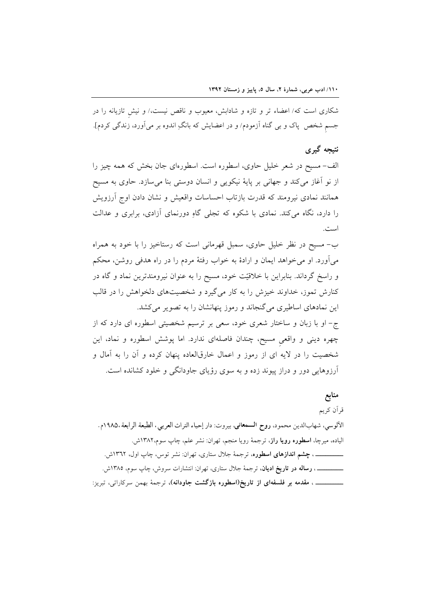شکاری است که/ اعضاء تر و تازه و شادابش، معیوب و ناقص نیست،/ و نیش تازیانه را در جسم شخص پاک و بی گناه اَزمودم/ و در اعضایش که بانگِ اندوه بر میآورد، زندگی کردم].

### نتيجه گيري

الف- مسیح در شعر خلیل حاوی، اسطوره است. اسطورهای جان بخش که همه چیز را از نو آغاز میکند و جهانی بر پایهٔ نیکویی و انسان دوستی بنا میسازد. حاوی به مسیح همانند نمادی نیرومند که قدرت بازتاب احساسات واقعیش و نشان دادن اوج آرزویش را دارد، نگاه می کند. نمادی با شکوه که تجلی گاهِ دورنمای آزادی، برابری و عدالت است.

ب- مسیح در نظر خلیل حاوی، سمبل قهرمانی است که رستاخیز را با خود به همراه میآورد. او میخواهد ایمان و ارادهٔ به خواب رفتهٔ مردم را در راه هدفی روشن، محکم و راسخ گرداند. بنابراین با خلاقیّت خود، مسیح را به عنوان نیرومندترین نماد و گاه در کنارش تموز، خداوند خیزش را به کار میگیرد و شخصیتهای دلخواهش را در قالب این نمادهای اساطیری می گنجاند و رموز پنهانشان را به تصویر می کشد. ج- او با زبان و ساختار شعری خود، سعی بر ترسیم شخصیتی اسطوره ای دارد که از چهره دینی و واقعی مسیح، چندان فاصلهای ندارد. اما پوشش اسطوره و نماد، این شخصیت را در لایه ای از رموز و اعمال خارق|لعاده پنهان کرده و آن را به آمال و

منابع

### قرآن كريم

الآلوسي، شهابالدين محمود، روح الـــمعاني، بيروت: دار إحياء التراث العربيي، الطبعة الرابعة ١٩٨٥ه. الياده، ميرچا، ا**سطوره رويا راز**، ترجمهٔ رويا منجم، تهران: نشر علم، چاپ سوم،١٣٨٢ش. \_\_\_\_، چشم اندازهای اسطوره، ترجمهٔ جلال ستاری، تهران: نشر توس، چاپ اول، ۱۳٦۲ش. ـــــــــــــــــ ، **رساله در تاریخ ادیان**، ترجمهٔ جلال ستاری، تهران: انتشارات سروش، چاپ سوم، ۱۳۸۵ش. ــــــــــــــــ ، **مقدمه بر فلسفهای از تاریخ(اسطوره بازگشت جاودانه)**، ترجمهٔ بهمن سرکاراتی، تبریز:

آرزوهایی دور و دراز پیوند زده و به سوی رؤیای جاودانگی و خلود کشانده است.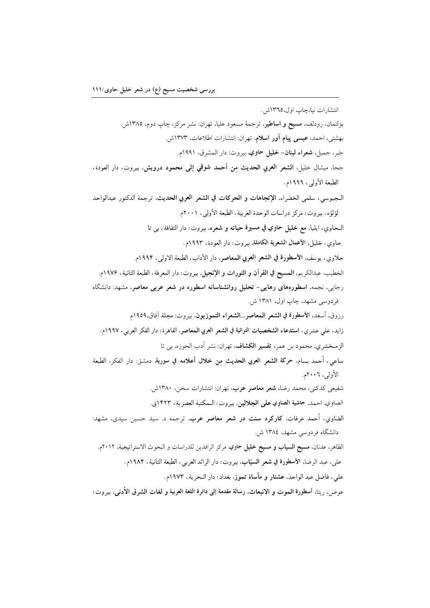انتشارات نيا،چاپ اول،١٣٦٥ش.

بولتمان، رودلف، مسيح و اساطير، ترجمة مسعود عليا، تهران: نشر مركز، چاپ دوم، ١٣٨٥ش. بهشتی، احمد، عیسی پیام آور اسلام، تهران: انتشارات اطلاعات، ۱۳۷۳ش. جَبر، جميل، **شعراء لبنان- خليل حاوي**، بيروت: دار المشرق، ١٩٩١م. جحاً، ميشال خليل، **الشعر العربي الحديث من أحمد شوقي إلى محمود درويش**، بيروت، دار العودة، الطبعة الأولى ، ١٩٩٩م. الـجيوسي، سلمي الخضراء، الإتجاهات و الحركات في الشعر العربي الحديث، ترجمة الدكتور عبدالواحد لؤلؤه، بيروت: مركز دراسات الوحدة العربية، الطبعة الأولى، ٢٠٠١م. الـحاوي، ايليا، مع خليل حاوي في مسيرة حياته و شعره، بيروت: دار الثقافة، بي تا حاوي، خليل، الأعمال الشعرية الكاملة، بيروت: دار العودة، ١٩٩٣م. حلاوي، يوسف، الأسطورة في الشعر العربي المعاصر، دار الآداب، الطبعة الاولى، ١٩٩٢م. الخطيب، عبدالكريم، المسيح في القرآن و التورات و الإنجيل، بيروت: دار المعرفة، الطبعة الثانية، ١٩٧۶م. رجایی، نجمه، اسطورههای رهایی- تحلیل روانشناسانه اسطوره در شعر عربی معاصر، مشهد: دانشگاه فردوسی مشهد، چاپ اول، ۱۳۸۱ ش. رزوق، أسعد، الأسطورة في الشعر المعاصر...الشعراء التموزيون، بيروت: مجلة آفاق،١٩٥٩م. زايد، على عشرى، استدعاء الشخصيات التراثية في الشعر العربي المعاصر، القاهرة: دار الفكر العربي، ١٩٩٧م. الزمـخشري، محمود بن عمر، **تفسير الكشاف**، تهران: نشر أدب الحوزه، بي تا ساعي، أحمد بسام، حركة الشعر العربي الحديث من خلال أعلامه في سورية, دمشق: دار الفكر، الطبعة الأولى، ٢٠٠٦م. شفیعی کدکنی، محمد رضا، **شعر معاصر عرب**، تهران: انتشارات سخن، ۱۳۸۰ش. الصاوي، احمد، حاشية الصاوي على الجلالين، بيروت: الـمكتبة العصرية، ١٤٢٣ق. الضاوی، أحمد عرفات، كاركرد سنت در شعر معاصر عرب، ترجمه د. سید حسین سیدی، مشهد: دانشگاه فردوسی مشهد، ۱۳۸٤ ش. الظاهر، عدنان، مسيح السياب و مسيح خليل حاوي، مركز الرافدين للدراسات و البحوث الاستراتيجية، ٢٠١٢م. على، عبد الرضا، الأسطورة في شعر السيّاب، بيروت: دار الرائد العربي، الطبعة الثانية، ١٩٨۴م. على، فاضل عبد الواحد، عشتار و مأساة تموز، بغداد: دار الـحرية، ١٩٧٣م. عوض، ريتا، أسطورة المموت و الانبعاث، رسالة مقدمة إلى دائرة اللغة العربية و لغات الشرق الأدنى، بيروت: